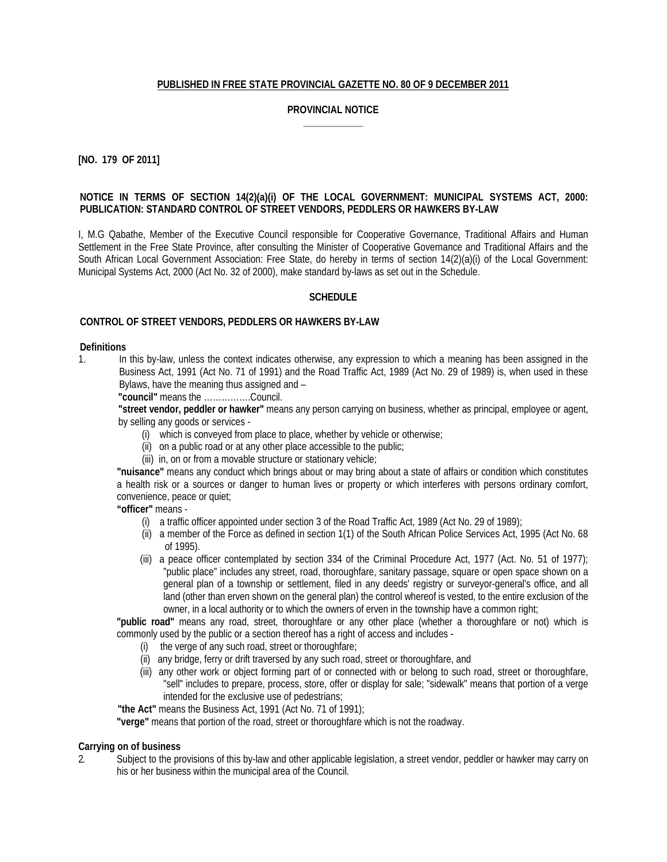# **PUBLISHED IN FREE STATE PROVINCIAL GAZETTE NO. 80 OF 9 DECEMBER 2011**

# **PROVINCIAL NOTICE \_\_\_\_\_\_\_\_\_\_\_\_**

# **[NO. 179 OF 2011]**

#### **NOTICE IN TERMS OF SECTION 14(2)(a)(i) OF THE LOCAL GOVERNMENT: MUNICIPAL SYSTEMS ACT, 2000: PUBLICATION: STANDARD CONTROL OF STREET VENDORS, PEDDLERS OR HAWKERS BY-LAW**

I, M.G Qabathe, Member of the Executive Council responsible for Cooperative Governance, Traditional Affairs and Human Settlement in the Free State Province, after consulting the Minister of Cooperative Governance and Traditional Affairs and the South African Local Government Association: Free State, do hereby in terms of section 14(2)(a)(i) of the Local Government: Municipal Systems Act, 2000 (Act No. 32 of 2000), make standard by-laws as set out in the Schedule.

#### **SCHEDULE**

#### **CONTROL OF STREET VENDORS, PEDDLERS OR HAWKERS BY-LAW**

#### **Definitions**

1. In this by-law, unless the context indicates otherwise, any expression to which a meaning has been assigned in the Business Act, 1991 (Act No. 71 of 1991) and the Road Traffic Act, 1989 (Act No. 29 of 1989) is, when used in these Bylaws, have the meaning thus assigned and –

**"council"** means the …………….Council.

**"street vendor, peddler or hawker"** means any person carrying on business, whether as principal, employee or agent, by selling any goods or services -

- (i) which is conveyed from place to place, whether by vehicle or otherwise;
- (ii) on a public road or at any other place accessible to the public;
- (iii) in, on or from a movable structure or stationary vehicle;

**"nuisance"** means any conduct which brings about or may bring about a state of affairs or condition which constitutes a health risk or a sources or danger to human lives or property or which interferes with persons ordinary comfort, convenience, peace or quiet;

**"officer"** means -

- (i) a traffic officer appointed under section 3 of the Road Traffic Act, 1989 (Act No. 29 of 1989);
- (ii) a member of the Force as defined in section 1(1) of the South African Police Services Act, 1995 (Act No. 68 of 1995).
- (iii) a peace officer contemplated by section 334 of the Criminal Procedure Act, 1977 (Act. No. 51 of 1977); "public place" includes any street, road, thoroughfare, sanitary passage, square or open space shown on a general plan of a township or settlement, filed in any deeds' registry or surveyor-general's office, and all land (other than erven shown on the general plan) the control whereof is vested, to the entire exclusion of the owner, in a local authority or to which the owners of erven in the township have a common right;

**"public road"** means any road, street, thoroughfare or any other place (whether a thoroughfare or not) which is commonly used by the public or a section thereof has a right of access and includes -

- (i) the verge of any such road, street or thoroughfare;
- (ii) any bridge, ferry or drift traversed by any such road, street or thoroughfare, and
- (iii) any other work or object forming part of or connected with or belong to such road, street or thoroughfare, "sell" includes to prepare, process, store, offer or display for sale; "sidewalk" means that portion of a verge intended for the exclusive use of pedestrians;

**"the Act"** means the Business Act, 1991 (Act No. 71 of 1991);

**"verge"** means that portion of the road, street or thoroughfare which is not the roadway.

# **Carrying on of business**

2. Subject to the provisions of this by-law and other applicable legislation, a street vendor, peddler or hawker may carry on his or her business within the municipal area of the Council.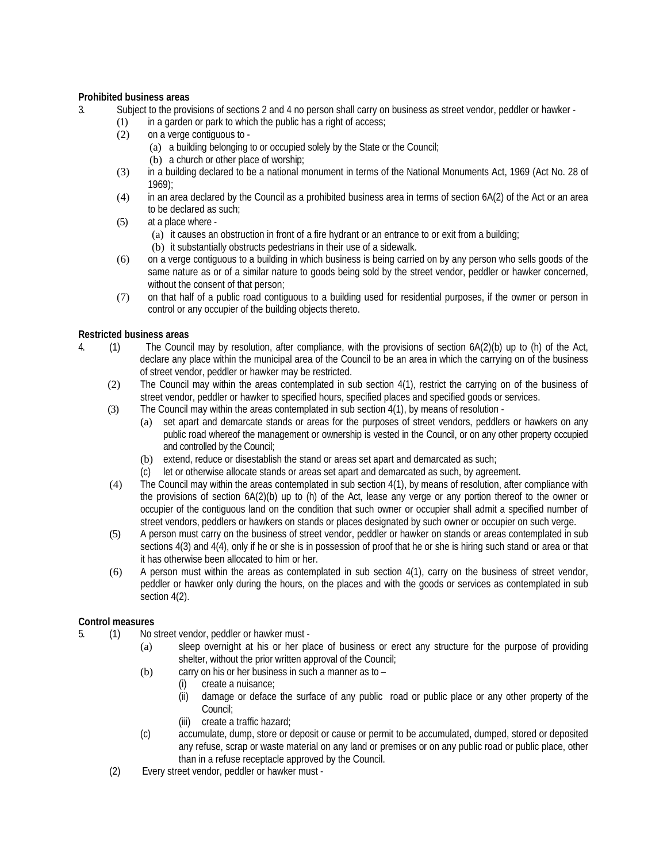# **Prohibited business areas**

- 3. Subject to the provisions of sections 2 and 4 no person shall carry on business as street vendor, peddler or hawker
	- $(1)$  in a garden or park to which the public has a right of access;
		- (2) on a verge contiguous to
			- (a) a building belonging to or occupied solely by the State or the Council;
			- (b) a church or other place of worship;
		- (3) in a building declared to be a national monument in terms of the National Monuments Act, 1969 (Act No. 28 of 1969);
		- (4) in an area declared by the Council as a prohibited business area in terms of section 6A(2) of the Act or an area to be declared as such;
		- (5) at a place where
			- (a) it causes an obstruction in front of a fire hydrant or an entrance to or exit from a building;
			- (b) it substantially obstructs pedestrians in their use of a sidewalk.
		- (6) on a verge contiguous to a building in which business is being carried on by any person who sells goods of the same nature as or of a similar nature to goods being sold by the street vendor, peddler or hawker concerned, without the consent of that person;
		- (7) on that half of a public road contiguous to a building used for residential purposes, if the owner or person in control or any occupier of the building objects thereto.

# **Restricted business areas**

- 4. (1) The Council may by resolution, after compliance, with the provisions of section 6A(2)(b) up to (h) of the Act, declare any place within the municipal area of the Council to be an area in which the carrying on of the business of street vendor, peddler or hawker may be restricted.
	- (2) The Council may within the areas contemplated in sub section 4(1), restrict the carrying on of the business of street vendor, peddler or hawker to specified hours, specified places and specified goods or services.
	- (3) The Council may within the areas contemplated in sub section 4(1), by means of resolution
		- (a) set apart and demarcate stands or areas for the purposes of street vendors, peddlers or hawkers on any public road whereof the management or ownership is vested in the Council, or on any other property occupied and controlled by the Council;
		- (b) extend, reduce or disestablish the stand or areas set apart and demarcated as such;
		- (c) let or otherwise allocate stands or areas set apart and demarcated as such, by agreement.
	- (4) The Council may within the areas contemplated in sub section 4(1), by means of resolution, after compliance with the provisions of section 6A(2)(b) up to (h) of the Act, lease any verge or any portion thereof to the owner or occupier of the contiguous land on the condition that such owner or occupier shall admit a specified number of street vendors, peddlers or hawkers on stands or places designated by such owner or occupier on such verge.
	- (5) A person must carry on the business of street vendor, peddler or hawker on stands or areas contemplated in sub sections 4(3) and 4(4), only if he or she is in possession of proof that he or she is hiring such stand or area or that it has otherwise been allocated to him or her.
	- (6) A person must within the areas as contemplated in sub section 4(1), carry on the business of street vendor, peddler or hawker only during the hours, on the places and with the goods or services as contemplated in sub section 4(2).

# **Control measures**

- 5. (1) No street vendor, peddler or hawker must
	- (a) sleep overnight at his or her place of business or erect any structure for the purpose of providing shelter, without the prior written approval of the Council;
	- (b) carry on his or her business in such a manner as to
		- (i) create a nuisance;
		- (ii) damage or deface the surface of any public road or public place or any other property of the Council;
		- (iii) create a traffic hazard;
	- (c) accumulate, dump, store or deposit or cause or permit to be accumulated, dumped, stored or deposited any refuse, scrap or waste material on any land or premises or on any public road or public place, other than in a refuse receptacle approved by the Council.
	- (2) Every street vendor, peddler or hawker must -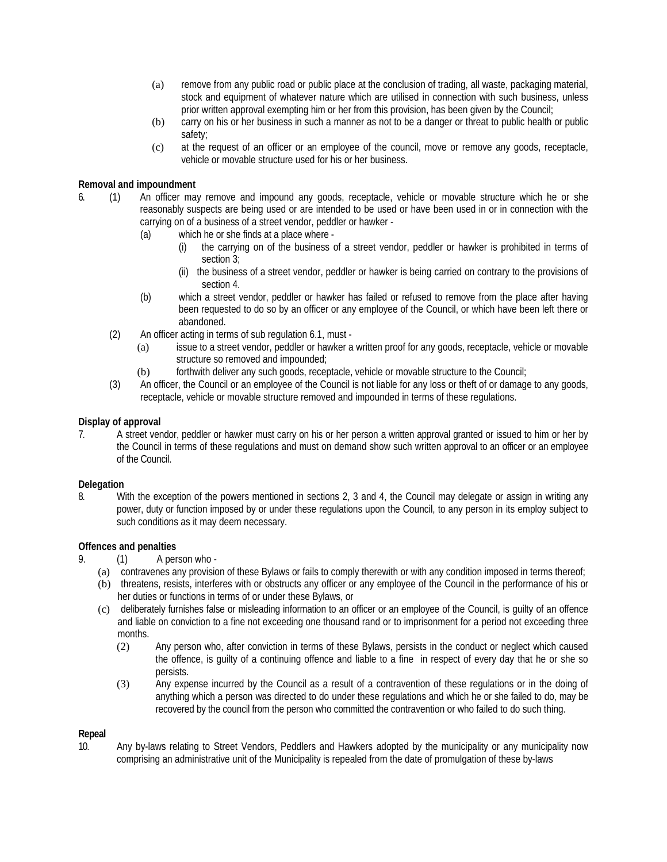- (a) remove from any public road or public place at the conclusion of trading, all waste, packaging material, stock and equipment of whatever nature which are utilised in connection with such business, unless prior written approval exempting him or her from this provision, has been given by the Council;
- (b) carry on his or her business in such a manner as not to be a danger or threat to public health or public safety;
- (c) at the request of an officer or an employee of the council, move or remove any goods, receptacle, vehicle or movable structure used for his or her business.

# **Removal and impoundment**

- 6. (1) An officer may remove and impound any goods, receptacle, vehicle or movable structure which he or she reasonably suspects are being used or are intended to be used or have been used in or in connection with the carrying on of a business of a street vendor, peddler or hawker -
	- (a) which he or she finds at a place where
		- (i) the carrying on of the business of a street vendor, peddler or hawker is prohibited in terms of section 3;
		- (ii) the business of a street vendor, peddler or hawker is being carried on contrary to the provisions of section 4.
	- (b) which a street vendor, peddler or hawker has failed or refused to remove from the place after having been requested to do so by an officer or any employee of the Council, or which have been left there or abandoned.
	- (2) An officer acting in terms of sub regulation 6.1, must
		- (a) issue to a street vendor, peddler or hawker a written proof for any goods, receptacle, vehicle or movable structure so removed and impounded;
		- (b) forthwith deliver any such goods, receptacle, vehicle or movable structure to the Council;
	- (3) An officer, the Council or an employee of the Council is not liable for any loss or theft of or damage to any goods, receptacle, vehicle or movable structure removed and impounded in terms of these regulations.

# **Display of approval**

7. A street vendor, peddler or hawker must carry on his or her person a written approval granted or issued to him or her by the Council in terms of these regulations and must on demand show such written approval to an officer or an employee of the Council.

# **Delegation**

8. With the exception of the powers mentioned in sections 2, 3 and 4, the Council may delegate or assign in writing any power, duty or function imposed by or under these regulations upon the Council, to any person in its employ subject to such conditions as it may deem necessary.

# **Offences and penalties**

- 9. (1) A person who
	- (a) contravenes any provision of these Bylaws or fails to comply therewith or with any condition imposed in terms thereof;
	- (b) threatens, resists, interferes with or obstructs any officer or any employee of the Council in the performance of his or her duties or functions in terms of or under these Bylaws, or
	- (c) deliberately furnishes false or misleading information to an officer or an employee of the Council, is guilty of an offence and liable on conviction to a fine not exceeding one thousand rand or to imprisonment for a period not exceeding three months.
		- (2) Any person who, after conviction in terms of these Bylaws, persists in the conduct or neglect which caused the offence, is guilty of a continuing offence and liable to a fine in respect of every day that he or she so persists.
		- (3) Any expense incurred by the Council as a result of a contravention of these regulations or in the doing of anything which a person was directed to do under these regulations and which he or she failed to do, may be recovered by the council from the person who committed the contravention or who failed to do such thing.

# **Repeal**

10. Any by-laws relating to Street Vendors, Peddlers and Hawkers adopted by the municipality or any municipality now comprising an administrative unit of the Municipality is repealed from the date of promulgation of these by-laws